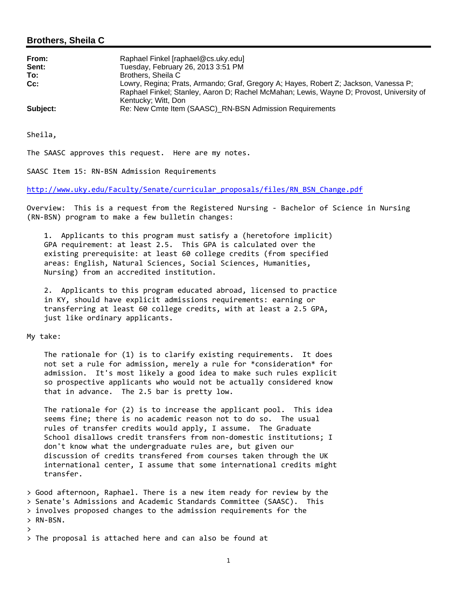### **Brothers, Sheila C**

| From:<br>Sent:<br>To: | Raphael Finkel [raphael@cs.uky.edu]<br>Tuesday, February 26, 2013 3:51 PM<br>Brothers, Sheila C                                                                                                         |
|-----------------------|---------------------------------------------------------------------------------------------------------------------------------------------------------------------------------------------------------|
| $Cc$ :                | Lowry, Regina; Prats, Armando; Graf, Gregory A; Hayes, Robert Z; Jackson, Vanessa P;<br>Raphael Finkel; Stanley, Aaron D; Rachel McMahan; Lewis, Wayne D; Provost, University of<br>Kentucky; Witt, Don |
| Subject:              | Re: New Cmte Item (SAASC) RN-BSN Admission Requirements                                                                                                                                                 |

Sheila,

The SAASC approves this request. Here are my notes.

SAASC Item 15: RN‐BSN Admission Requirements

http://www.uky.edu/Faculty/Senate/curricular\_proposals/files/RN\_BSN\_Change.pdf

Overview: This is a request from the Registered Nursing ‐ Bachelor of Science in Nursing (RN‐BSN) program to make a few bulletin changes:

 1. Applicants to this program must satisfy a (heretofore implicit) GPA requirement: at least 2.5. This GPA is calculated over the existing prerequisite: at least 60 college credits (from specified areas: English, Natural Sciences, Social Sciences, Humanities, Nursing) from an accredited institution.

 2. Applicants to this program educated abroad, licensed to practice in KY, should have explicit admissions requirements: earning or transferring at least 60 college credits, with at least a 2.5 GPA, just like ordinary applicants.

My take:

 The rationale for (1) is to clarify existing requirements. It does not set a rule for admission, merely a rule for \*consideration\* for admission. It's most likely a good idea to make such rules explicit so prospective applicants who would not be actually considered know that in advance. The 2.5 bar is pretty low.

 The rationale for (2) is to increase the applicant pool. This idea seems fine; there is no academic reason not to do so. The usual rules of transfer credits would apply, I assume. The Graduate School disallows credit transfers from non-domestic institutions; I don't know what the undergraduate rules are, but given our discussion of credits transfered from courses taken through the UK international center, I assume that some international credits might transfer.

> Good afternoon, Raphael. There is a new item ready for review by the > Senate's Admissions and Academic Standards Committee (SAASC). This > involves proposed changes to the admission requirements for the > RN‐BSN.

 $\sum_{i=1}^{n}$ 

> The proposal is attached here and can also be found at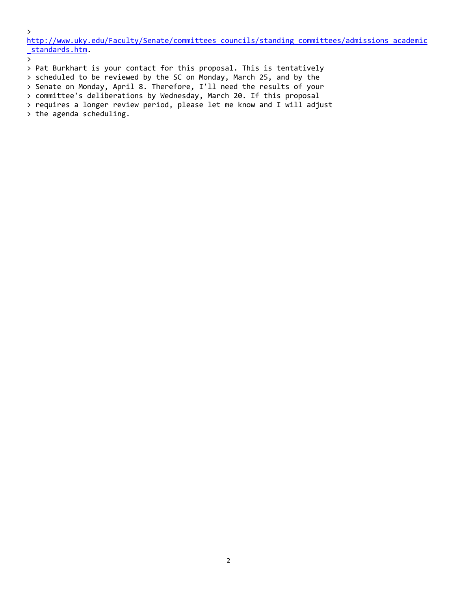$\mathbf{r}$ 

http://www.uky.edu/Faculty/Senate/committees\_councils/standing\_committees/admissions\_academic \_standards.htm.

 $\sum$ 

> Pat Burkhart is your contact for this proposal. This is tentatively

> scheduled to be reviewed by the SC on Monday, March 25, and by the > Senate on Monday, April 8. Therefore, I'll need the results of your

> committee's deliberations by Wednesday, March 20. If this proposal

> requires a longer review period, please let me know and I will adjust

> the agenda scheduling.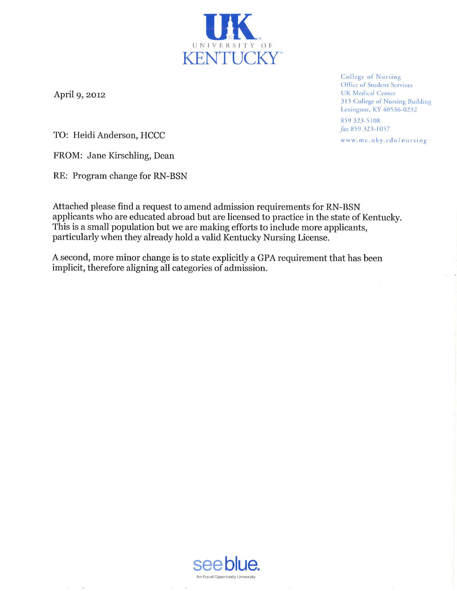April 9, 2012

College of Nursing Office of Student Services **UK Medical Center** 315 College of Nursing Building Lexington, KY 40536-0232

859 323-5108 fax 859 323-1057

www.mc.uky.edu/nursing

TO: Heidi Anderson, HCCC

FROM: Jane Kirschling, Dean

RE: Program change for RN-BSN

Attached please find a request to amend admission requirements for RN-BSN applicants who are educated abroad but are licensed to practice in the state of Kentucky. This is a small population but we are making efforts to include more applicants, particularly when they already hold a valid Kentucky Nursing License.

UNIVERSITY OF **KENTUCKY**\*

A second, more minor change is to state explicitly a GPA requirement that has been implicit, therefore aligning all categories of admission.

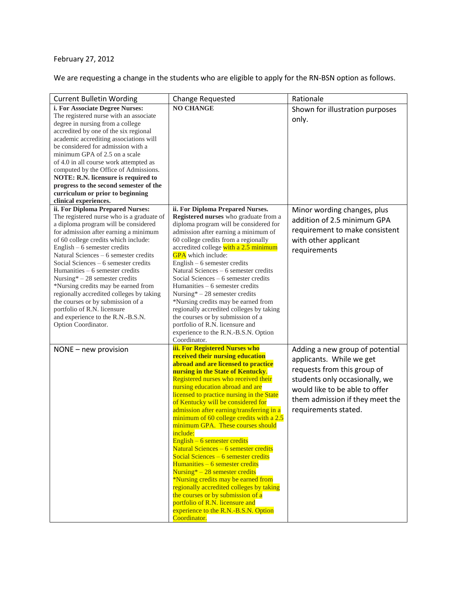# February 27, 2012

We are requesting a change in the students who are eligible to apply for the RN-BSN option as follows.

| <b>Current Bulletin Wording</b>                                                                                                                                                                                                                                                                                                                                                                                                                                                                                                                                                                                   | <b>Change Requested</b>                                                                                                                                                                                                                                                                                                                                                                                                                                                                                                                                                                                                                                                                                                                                                                                                                                                | Rationale                                                                                                                                                                                                                 |
|-------------------------------------------------------------------------------------------------------------------------------------------------------------------------------------------------------------------------------------------------------------------------------------------------------------------------------------------------------------------------------------------------------------------------------------------------------------------------------------------------------------------------------------------------------------------------------------------------------------------|------------------------------------------------------------------------------------------------------------------------------------------------------------------------------------------------------------------------------------------------------------------------------------------------------------------------------------------------------------------------------------------------------------------------------------------------------------------------------------------------------------------------------------------------------------------------------------------------------------------------------------------------------------------------------------------------------------------------------------------------------------------------------------------------------------------------------------------------------------------------|---------------------------------------------------------------------------------------------------------------------------------------------------------------------------------------------------------------------------|
| i. For Associate Degree Nurses:<br>The registered nurse with an associate<br>degree in nursing from a college<br>accredited by one of the six regional<br>academic accrediting associations will<br>be considered for admission with a<br>minimum GPA of 2.5 on a scale<br>of 4.0 in all course work attempted as<br>computed by the Office of Admissions.<br>NOTE: R.N. licensure is required to<br>progress to the second semester of the<br>curriculum or prior to beginning<br>clinical experiences.                                                                                                          | <b>NO CHANGE</b>                                                                                                                                                                                                                                                                                                                                                                                                                                                                                                                                                                                                                                                                                                                                                                                                                                                       | Shown for illustration purposes<br>only.                                                                                                                                                                                  |
| ii. For Diploma Prepared Nurses:<br>The registered nurse who is a graduate of<br>a diploma program will be considered<br>for admission after earning a minimum<br>of 60 college credits which include:<br>English $-6$ semester credits<br>Natural Sciences - 6 semester credits<br>Social Sciences – 6 semester credits<br>Humanities – 6 semester credits<br>Nursing* $-28$ semester credits<br>*Nursing credits may be earned from<br>regionally accredited colleges by taking<br>the courses or by submission of a<br>portfolio of R.N. licensure<br>and experience to the R.N.-B.S.N.<br>Option Coordinator. | ii. For Diploma Prepared Nurses.<br>Registered nurses who graduate from a<br>diploma program will be considered for<br>admission after earning a minimum of<br>60 college credits from a regionally<br>accredited college with a 2.5 minimum<br><b>GPA</b> which include:<br>English $-6$ semester credits<br>Natural Sciences - 6 semester credits<br>Social Sciences – 6 semester credits<br>Humanities – 6 semester credits<br>Nursing* $-28$ semester credits<br>*Nursing credits may be earned from<br>regionally accredited colleges by taking<br>the courses or by submission of a<br>portfolio of R.N. licensure and<br>experience to the R.N.-B.S.N. Option<br>Coordinator.                                                                                                                                                                                   | Minor wording changes, plus<br>addition of 2.5 minimum GPA<br>requirement to make consistent<br>with other applicant<br>requirements                                                                                      |
| NONE - new provision                                                                                                                                                                                                                                                                                                                                                                                                                                                                                                                                                                                              | iii. For Registered Nurses who<br>received their nursing education<br>abroad and are licensed to practice<br>nursing in the State of Kentucky.<br>Registered nurses who received their<br>nursing education abroad and are<br>licensed to practice nursing in the State<br>of Kentucky will be considered for<br>admission after earning/transferring in a<br>minimum of 60 college credits with a 2.5<br>minimum GPA. These courses should<br>include:<br>English $-6$ semester credits<br>Natural Sciences - 6 semester credits<br>Social Sciences $-6$ semester credits<br>$Humanities - 6$ semester credits<br>$Nursing* - 28$ semester credits<br>*Nursing credits may be earned from<br>regionally accredited colleges by taking<br>the courses or by submission of a<br>portfolio of R.N. licensure and<br>experience to the R.N.-B.S.N. Option<br>Coordinator. | Adding a new group of potential<br>applicants. While we get<br>requests from this group of<br>students only occasionally, we<br>would like to be able to offer<br>them admission if they meet the<br>requirements stated. |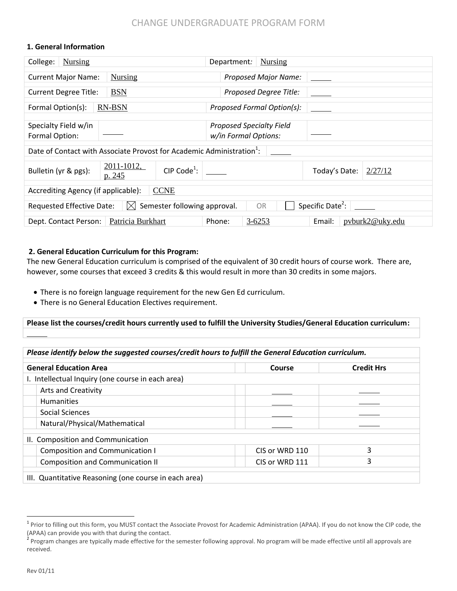### **1. General Information**

| College:<br><b>Nursing</b>                                                                                   |                                                 |  | <b>Nursing</b><br>Department:                           |                          |
|--------------------------------------------------------------------------------------------------------------|-------------------------------------------------|--|---------------------------------------------------------|--------------------------|
| <b>Nursing</b><br><b>Current Major Name:</b>                                                                 |                                                 |  | <b>Proposed Major Name:</b>                             |                          |
| <b>BSN</b><br><b>Current Degree Title:</b>                                                                   |                                                 |  | Proposed Degree Title:                                  |                          |
| Formal Option(s):                                                                                            | <b>RN-BSN</b>                                   |  | Proposed Formal Option(s):                              |                          |
| Specialty Field w/in<br>Formal Option:                                                                       |                                                 |  | <b>Proposed Specialty Field</b><br>w/in Formal Options: |                          |
| Date of Contact with Associate Provost for Academic Administration <sup>1</sup> :                            |                                                 |  |                                                         |                          |
| Bulletin (yr & pgs):                                                                                         | 2011-1012,<br>CIP Code <sup>1</sup> :<br>p. 245 |  |                                                         | Today's Date:<br>2/27/12 |
| <b>CCNE</b><br>Accrediting Agency (if applicable):                                                           |                                                 |  |                                                         |                          |
| Specific Date <sup>2</sup> :<br>Semester following approval.<br>Requested Effective Date:<br><b>OR</b><br> X |                                                 |  |                                                         |                          |
| Patricia Burkhart<br>Phone:<br>$3 - 6253$<br>Dept. Contact Person:<br>pyburk2@uky.edu<br>Email:              |                                                 |  |                                                         |                          |

### **2. General Education Curriculum for this Program:**

The new General Education curriculum is comprised of the equivalent of 30 credit hours of course work. There are, however, some courses that exceed 3 credits & this would result in more than 30 credits in some majors.

- There is no foreign language requirement for the new Gen Ed curriculum.
- There is no General Education Electives requirement.

**Please list the courses/credit hours currently used to fulfill the University Studies/General Education curriculum:**

| <b>General Education Area</b>                     | Course         | <b>Credit Hrs</b> |
|---------------------------------------------------|----------------|-------------------|
| I. Intellectual Inquiry (one course in each area) |                |                   |
| <b>Arts and Creativity</b>                        |                |                   |
| <b>Humanities</b>                                 |                |                   |
| Social Sciences                                   |                |                   |
| Natural/Physical/Mathematical                     |                |                   |
| II. Composition and Communication                 |                |                   |
| <b>Composition and Communication I</b>            | CIS or WRD 110 | 3                 |
| <b>Composition and Communication II</b>           | CIS or WRD 111 | 3                 |

 $\overline{a}$ 

<sup>&</sup>lt;sup>1</sup> Prior to filling out this form, you MUST contact the Associate Provost for Academic Administration (APAA). If you do not know the CIP code, the (APAA) can provide you with that during the contact.

<sup>&</sup>lt;sup>2</sup> Program changes are typically made effective for the semester following approval. No program will be made effective until all approvals are received.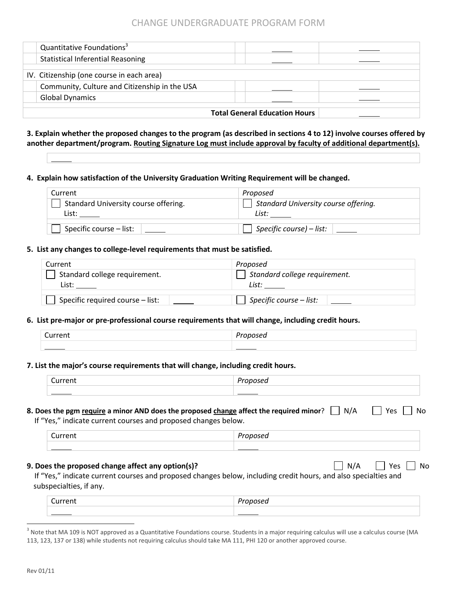|                                      | Quantitative Foundations <sup>3</sup>         |  |  |
|--------------------------------------|-----------------------------------------------|--|--|
|                                      | <b>Statistical Inferential Reasoning</b>      |  |  |
|                                      | IV. Citizenship (one course in each area)     |  |  |
|                                      | Community, Culture and Citizenship in the USA |  |  |
|                                      | <b>Global Dynamics</b>                        |  |  |
| <b>Total General Education Hours</b> |                                               |  |  |

### **3. Explain whether the proposed changes to the program (as described in sections 4 to 12) involve courses offered by another department/program. Routing Signature Log must include approval by faculty of additional department(s).**

**4. Explain how satisfaction of the University Graduation Writing Requirement will be changed.**

| Current                              | Proposed                                 |
|--------------------------------------|------------------------------------------|
| Standard University course offering. | Standard University course offering.     |
|                                      | List:                                    |
| Specific course – list:              | $\vert$ Specific course) – list: $\vert$ |

### **5. List any changes to college-level requirements that must be satisfied.**

| Current                                | Proposed                      |
|----------------------------------------|-------------------------------|
| Standard college requirement.<br>_ist* | Standard college requirement. |
| Specific required course - list:       | Specific course $-$ list:     |

# **6. List pre-major or pre-professional course requirements that will change, including credit hours.**

| $\overline{\phantom{0}}$<br>Current | n.,<br>.<br>posea |
|-------------------------------------|-------------------|
|                                     |                   |

### **7. List the major's course requirements that will change, including credit hours.**

| <b><i>LATTERWAY</i></b> |  |
|-------------------------|--|
|                         |  |

### **8. Does the pgm require a minor AND does the proposed change affect the required minor?**  $\Box$  **N/A**  $\Box$  **Yes**  $\Box$  **No**

If "Yes," indicate current courses and proposed changes below.

| rrnn |  |
|------|--|
|      |  |

#### **9. Does the proposed change affect any option(s)?**  $\Box$  $N/A$  $\Box$  $N/A$  $\Box$  **Yes**  $\Box$  **No**

If "Yes," indicate current courses and proposed changes below, including credit hours, and also specialties and subspecialties, if any.

| -<br>. . |  |
|----------|--|
|          |  |

 $\overline{a}$ 

 $^3$  Note that MA 109 is NOT approved as a Quantitative Foundations course. Students in a major requiring calculus will use a calculus course (MA 113, 123, 137 or 138) while students not requiring calculus should take MA 111, PHI 120 or another approved course.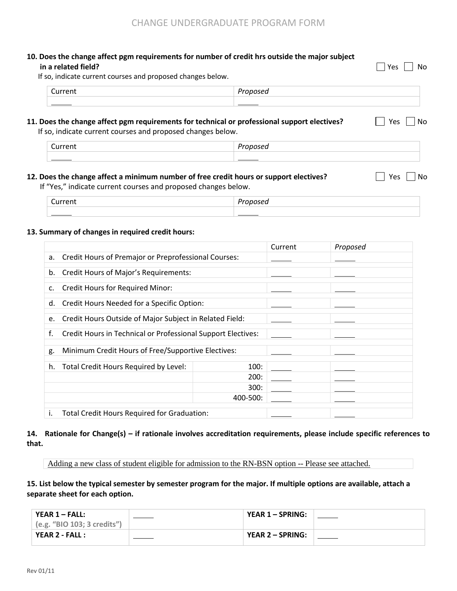### **10. Does the change affect pgm requirements for number of credit hrs outside the major subject in a related field?** YesNo

If so, indicate current courses and proposed changes below.

# **11. Does the change affect pgm requirements for technical or professional support electives?** <br>
No

If so, indicate current courses and proposed changes below.

| ∽ |  |
|---|--|
|   |  |

### **12. Does the change affect a minimum number of free credit hours or support electives?** Yes No

If "Yes," indicate current courses and proposed changes below.

| - |  |
|---|--|
|   |  |

### **13. Summary of changes in required credit hours:**

|    |                                                              |          | Current | Proposed |
|----|--------------------------------------------------------------|----------|---------|----------|
| a. | Credit Hours of Premajor or Preprofessional Courses:         |          |         |          |
| b. | <b>Credit Hours of Major's Requirements:</b>                 |          |         |          |
| c. | <b>Credit Hours for Required Minor:</b>                      |          |         |          |
| d. | Credit Hours Needed for a Specific Option:                   |          |         |          |
| e. | Credit Hours Outside of Major Subject in Related Field:      |          |         |          |
| f. | Credit Hours in Technical or Professional Support Electives: |          |         |          |
| g. | Minimum Credit Hours of Free/Supportive Electives:           |          |         |          |
|    |                                                              |          |         |          |
| h. | Total Credit Hours Required by Level:                        | 100:     |         |          |
|    |                                                              | 200:     |         |          |
|    |                                                              | 300:     |         |          |
|    |                                                              | 400-500: |         |          |
| i. | Total Credit Hours Required for Graduation:                  |          |         |          |

### **14. Rationale for Change(s) – if rationale involves accreditation requirements, please include specific references to that.**

Adding a new class of student eligible for admission to the RN-BSN option -- Please see attached.

**15. List below the typical semester by semester program for the major. If multiple options are available, attach a separate sheet for each option.** 

| YEAR $1$ – FALL:              | YEAR $1 -$ SPRING: |  |
|-------------------------------|--------------------|--|
| $(e.g.$ "BIO 103; 3 credits") |                    |  |
| YEAR 2 - FALL :               | YEAR 2 – SPRING:   |  |
|                               |                    |  |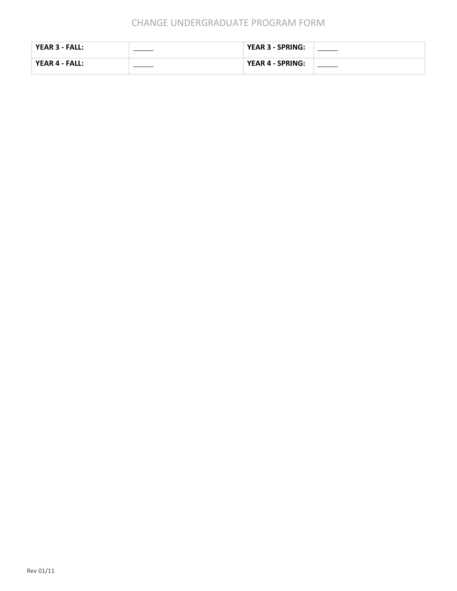| YEAR 3 - FALL: | <b>YEAR 3 - SPRING:</b> |  |
|----------------|-------------------------|--|
| YEAR 4 - FALL: | YEAR 4 - SPRING:        |  |